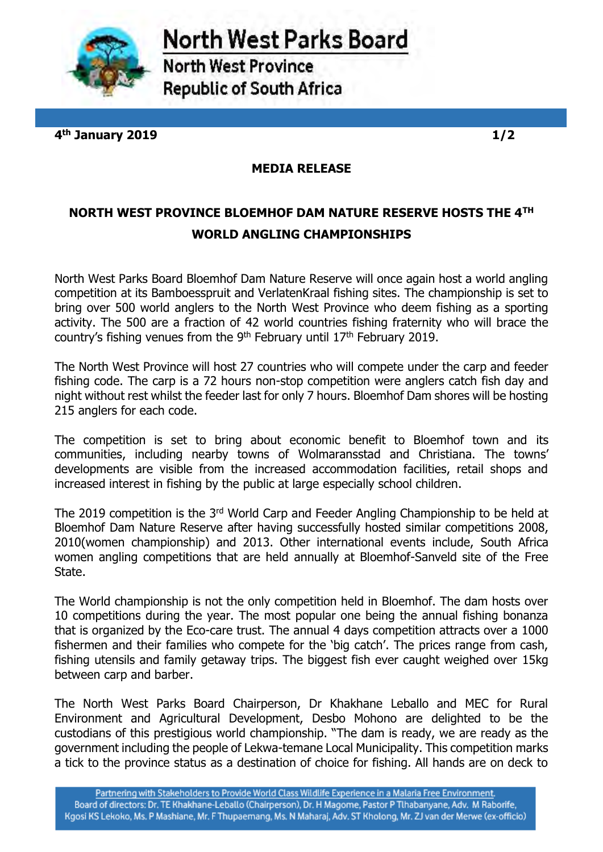

North West Parks Board

**North West Province Republic of South Africa** 

**4 th January 2019 1/2**

**MEDIA RELEASE** 

## **NORTH WEST PROVINCE BLOEMHOF DAM NATURE RESERVE HOSTS THE 4TH WORLD ANGLING CHAMPIONSHIPS**

North West Parks Board Bloemhof Dam Nature Reserve will once again host a world angling competition at its Bamboesspruit and VerlatenKraal fishing sites. The championship is set to bring over 500 world anglers to the North West Province who deem fishing as a sporting activity. The 500 are a fraction of 42 world countries fishing fraternity who will brace the country's fishing venues from the 9<sup>th</sup> February until  $17<sup>th</sup>$  February 2019.

The North West Province will host 27 countries who will compete under the carp and feeder fishing code. The carp is a 72 hours non-stop competition were anglers catch fish day and night without rest whilst the feeder last for only 7 hours. Bloemhof Dam shores will be hosting 215 anglers for each code.

The competition is set to bring about economic benefit to Bloemhof town and its communities, including nearby towns of Wolmaransstad and Christiana. The towns' developments are visible from the increased accommodation facilities, retail shops and increased interest in fishing by the public at large especially school children.

The 2019 competition is the 3<sup>rd</sup> World Carp and Feeder Angling Championship to be held at Bloemhof Dam Nature Reserve after having successfully hosted similar competitions 2008, 2010(women championship) and 2013. Other international events include, South Africa women angling competitions that are held annually at Bloemhof-Sanveld site of the Free State.

The World championship is not the only competition held in Bloemhof. The dam hosts over 10 competitions during the year. The most popular one being the annual fishing bonanza that is organized by the Eco-care trust. The annual 4 days competition attracts over a 1000 fishermen and their families who compete for the 'big catch'. The prices range from cash, fishing utensils and family getaway trips. The biggest fish ever caught weighed over 15kg between carp and barber.

The North West Parks Board Chairperson, Dr Khakhane Leballo and MEC for Rural Environment and Agricultural Development, Desbo Mohono are delighted to be the custodians of this prestigious world championship. "The dam is ready, we are ready as the government including the people of Lekwa-temane Local Municipality. This competition marks a tick to the province status as a destination of choice for fishing. All hands are on deck to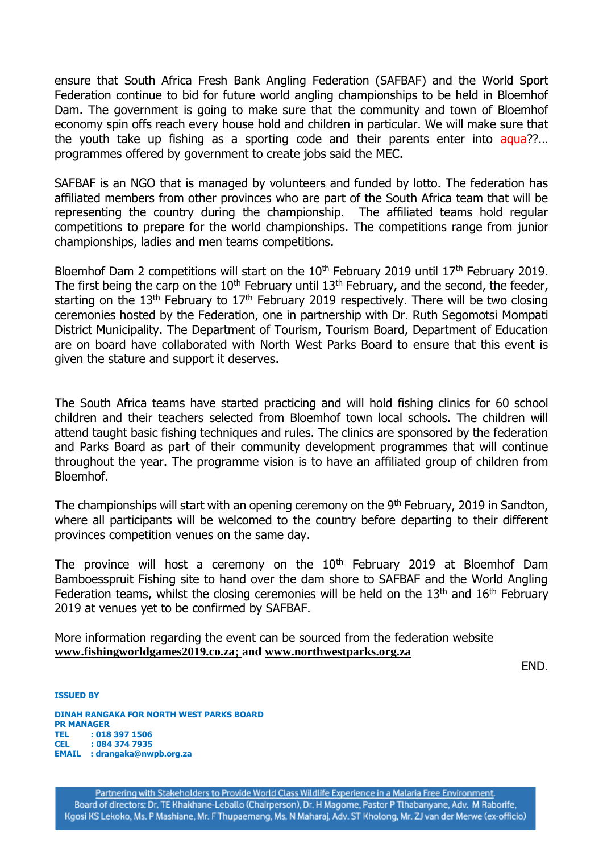ensure that South Africa Fresh Bank Angling Federation (SAFBAF) and the World Sport Federation continue to bid for future world angling championships to be held in Bloemhof Dam. The government is going to make sure that the community and town of Bloemhof economy spin offs reach every house hold and children in particular. We will make sure that the youth take up fishing as a sporting code and their parents enter into aqua??... programmes offered by government to create jobs said the MEC.

SAFBAF is an NGO that is managed by volunteers and funded by lotto. The federation has affiliated members from other provinces who are part of the South Africa team that will be representing the country during the championship. The affiliated teams hold regular competitions to prepare for the world championships. The competitions range from junior championships, ladies and men teams competitions.

Bloemhof Dam 2 competitions will start on the  $10<sup>th</sup>$  February 2019 until  $17<sup>th</sup>$  February 2019. The first being the carp on the  $10<sup>th</sup>$  February until  $13<sup>th</sup>$  February, and the second, the feeder, starting on the  $13<sup>th</sup>$  February to  $17<sup>th</sup>$  February 2019 respectively. There will be two closing ceremonies hosted by the Federation, one in partnership with Dr. Ruth Segomotsi Mompati District Municipality. The Department of Tourism, Tourism Board, Department of Education are on board have collaborated with North West Parks Board to ensure that this event is given the stature and support it deserves.

The South Africa teams have started practicing and will hold fishing clinics for 60 school children and their teachers selected from Bloemhof town local schools. The children will attend taught basic fishing techniques and rules. The clinics are sponsored by the federation and Parks Board as part of their community development programmes that will continue throughout the year. The programme vision is to have an affiliated group of children from Bloemhof.

The championships will start with an opening ceremony on the 9<sup>th</sup> February, 2019 in Sandton, where all participants will be welcomed to the country before departing to their different provinces competition venues on the same day.

The province will host a ceremony on the  $10<sup>th</sup>$  February 2019 at Bloemhof Dam Bamboesspruit Fishing site to hand over the dam shore to SAFBAF and the World Angling Federation teams, whilst the closing ceremonies will be held on the  $13<sup>th</sup>$  and  $16<sup>th</sup>$  February 2019 at venues yet to be confirmed by SAFBAF.

More information regarding the event can be sourced from the federation website **[www.fishingworldgames2019.co.za;](http://www.fishingworldgames2019.co.za/) and [www.northwestparks.org.za](http://www.northwestparks.org.za/)** 

END.

**ISSUED BY** 

**DINAH RANGAKA FOR NORTH WEST PARKS BOARD PR MANAGER TEL : 018 397 1506 CEL : 084 374 7935 EMAIL : drangaka@nwpb.org.za**